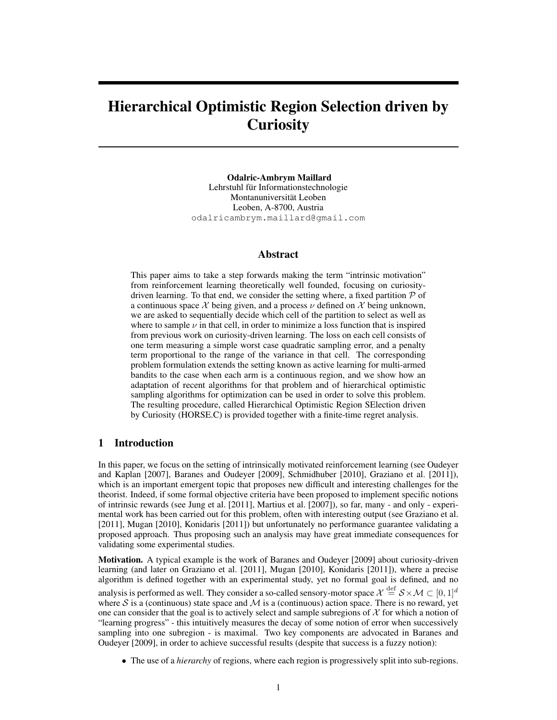# Hierarchical Optimistic Region Selection driven by **Curiosity**

Odalric-Ambrym Maillard Lehrstuhl für Informationstechnologie Montanuniversitat Leoben ¨ Leoben, A-8700, Austria odalricambrym.maillard@gmail.com

## Abstract

This paper aims to take a step forwards making the term "intrinsic motivation" from reinforcement learning theoretically well founded, focusing on curiositydriven learning. To that end, we consider the setting where, a fixed partition  $P$  of a continuous space  $\chi$  being given, and a process  $\nu$  defined on  $\chi$  being unknown, we are asked to sequentially decide which cell of the partition to select as well as where to sample  $\nu$  in that cell, in order to minimize a loss function that is inspired from previous work on curiosity-driven learning. The loss on each cell consists of one term measuring a simple worst case quadratic sampling error, and a penalty term proportional to the range of the variance in that cell. The corresponding problem formulation extends the setting known as active learning for multi-armed bandits to the case when each arm is a continuous region, and we show how an adaptation of recent algorithms for that problem and of hierarchical optimistic sampling algorithms for optimization can be used in order to solve this problem. The resulting procedure, called Hierarchical Optimistic Region SElection driven by Curiosity (HORSE.C) is provided together with a finite-time regret analysis.

## 1 Introduction

In this paper, we focus on the setting of intrinsically motivated reinforcement learning (see Oudeyer and Kaplan [2007], Baranes and Oudeyer [2009], Schmidhuber [2010], Graziano et al. [2011]), which is an important emergent topic that proposes new difficult and interesting challenges for the theorist. Indeed, if some formal objective criteria have been proposed to implement specific notions of intrinsic rewards (see Jung et al. [2011], Martius et al. [2007]), so far, many - and only - experimental work has been carried out for this problem, often with interesting output (see Graziano et al. [2011], Mugan [2010], Konidaris [2011]) but unfortunately no performance guarantee validating a proposed approach. Thus proposing such an analysis may have great immediate consequences for validating some experimental studies.

Motivation. A typical example is the work of Baranes and Oudeyer [2009] about curiosity-driven learning (and later on Graziano et al. [2011], Mugan [2010], Konidaris [2011]), where a precise algorithm is defined together with an experimental study, yet no formal goal is defined, and no analysis is performed as well. They consider a so-called sensory-motor space  $\chi \stackrel{\text{def}}{=} S \times \mathcal{M} \subset [0,1]^d$ where S is a (continuous) state space and  $M$  is a (continuous) action space. There is no reward, yet one can consider that the goal is to actively select and sample subregions of  $X$  for which a notion of "learning progress" - this intuitively measures the decay of some notion of error when successively sampling into one subregion - is maximal. Two key components are advocated in Baranes and Oudeyer [2009], in order to achieve successful results (despite that success is a fuzzy notion):

• The use of a *hierarchy* of regions, where each region is progressively split into sub-regions.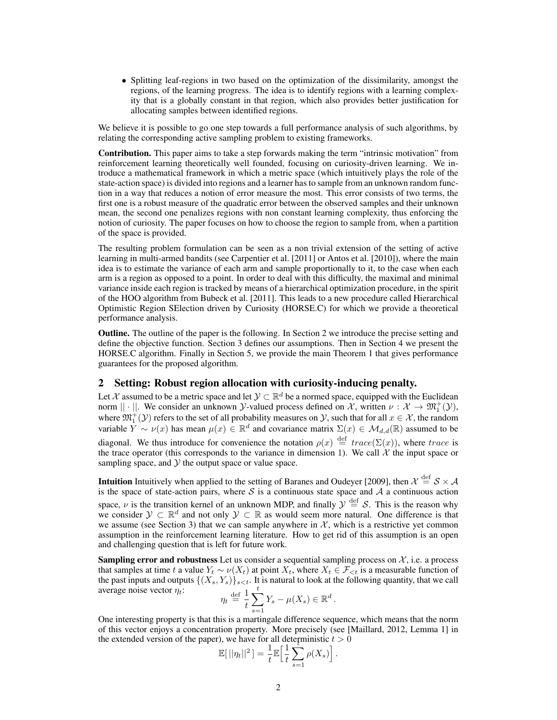• Splitting leaf-regions in two based on the optimization of the dissimilarity, amongst the regions, of the learning progress. The idea is to identify regions with a learning complexity that is a globally constant in that region, which also provides better justification for allocating samples between identified regions.

We believe it is possible to go one step towards a full performance analysis of such algorithms, by relating the corresponding active sampling problem to existing frameworks.

Contribution. This paper aims to take a step forwards making the term "intrinsic motivation" from reinforcement learning theoretically well founded, focusing on curiosity-driven learning. We introduce a mathematical framework in which a metric space (which intuitively plays the role of the state-action space) is divided into regions and a learner has to sample from an unknown random function in a way that reduces a notion of error measure the most. This error consists of two terms, the first one is a robust measure of the quadratic error between the observed samples and their unknown mean, the second one penalizes regions with non constant learning complexity, thus enforcing the notion of curiosity. The paper focuses on how to choose the region to sample from, when a partition of the space is provided.

The resulting problem formulation can be seen as a non trivial extension of the setting of active learning in multi-armed bandits (see Carpentier et al. [2011] or Antos et al. [2010]), where the main idea is to estimate the variance of each arm and sample proportionally to it, to the case when each arm is a region as opposed to a point. In order to deal with this difficulty, the maximal and minimal variance inside each region is tracked by means of a hierarchical optimization procedure, in the spirit of the HOO algorithm from Bubeck et al. [2011]. This leads to a new procedure called Hierarchical Optimistic Region SElection driven by Curiosity (HORSE.C) for which we provide a theoretical performance analysis.

Outline. The outline of the paper is the following. In Section 2 we introduce the precise setting and define the objective function. Section 3 defines our assumptions. Then in Section 4 we present the HORSE.C algorithm. Finally in Section 5, we provide the main Theorem 1 that gives performance guarantees for the proposed algorithm.

## 2 Setting: Robust region allocation with curiosity-inducing penalty.

Let X assumed to be a metric space and let  $\mathcal{Y} \subset \mathbb{R}^d$  be a normed space, equipped with the Euclidean norm  $|| \cdot ||$ . We consider an unknown *Y*-valued process defined on *X*, written  $\nu : \mathcal{X} \to \mathfrak{M}_1^+(\mathcal{Y})$ , where  $\mathfrak{M}^+_1(\mathcal{Y})$  refers to the set of all probability measures on  $\mathcal{Y}$ , such that for all  $x \in \mathcal{X}$ , the random variable  $Y \sim \nu(x)$  has mean  $\mu(x) \in \mathbb{R}^d$  and covariance matrix  $\Sigma(x) \in \mathcal{M}_{d,d}(\mathbb{R})$  assumed to be diagonal. We thus introduce for convenience the notation  $\rho(x) \stackrel{\text{def}}{=} trace(\Sigma(x))$ , where trace is the trace operator (this corresponds to the variance in dimension 1). We call  $\chi$  the input space or sampling space, and  $\mathcal Y$  the output space or value space.

**Intuition** Intuitively when applied to the setting of Baranes and Oudeyer [2009], then  $\mathcal{X} \stackrel{\text{def}}{=} \mathcal{S} \times \mathcal{A}$ is the space of state-action pairs, where  $S$  is a continuous state space and  $A$  a continuous action

space,  $\nu$  is the transition kernel of an unknown MDP, and finally  $\mathcal{Y} \stackrel{\text{def}}{=} \mathcal{S}$ . This is the reason why we consider  $\mathcal{Y} \subset \mathbb{R}^d$  and not only  $\mathcal{Y} \subset \mathbb{R}$  as would seem more natural. One difference is that we assume (see Section 3) that we can sample anywhere in  $X$ , which is a restrictive yet common assumption in the reinforcement learning literature. How to get rid of this assumption is an open and challenging question that is left for future work.

**Sampling error and robustness** Let us consider a sequential sampling process on  $\mathcal{X}$ , i.e. a process that samples at time t a value  $Y_t \sim \nu(X_t)$  at point  $X_t$ , where  $X_t \in \mathcal{F}_{\leq t}$  is a measurable function of the past inputs and outputs  $\{(X_s, Y_s)\}_{s \leq t}$ . It is natural to look at the following quantity, that we call average noise vector  $\eta_t$ : def  $\stackrel{t}{\blacktriangle}$ 

$$
\eta_t \stackrel{\text{def}}{=} \frac{1}{t} \sum_{s=1}^t Y_s - \mu(X_s) \in \mathbb{R}^d.
$$

One interesting property is that this is a martingale difference sequence, which means that the norm of this vector enjoys a concentration property. More precisely (see [Maillard, 2012, Lemma 1] in the extended version of the paper), we have for all deterministic  $t > 0$ <br>  $\mathbb{E}[\|\mathbf{u}_t\|^2] = \frac{1}{\pi} \mathbb{E}[\frac{1}{N} \sum_{i=1}^{N} \mathbf{u}_i(\mathbf{x}_i)]$ 

$$
\mathbb{E}[||\eta_t||^2] = \frac{1}{t} \mathbb{E}\Big[\frac{1}{t}\sum_{s=1}^t \rho(X_s)\Big].
$$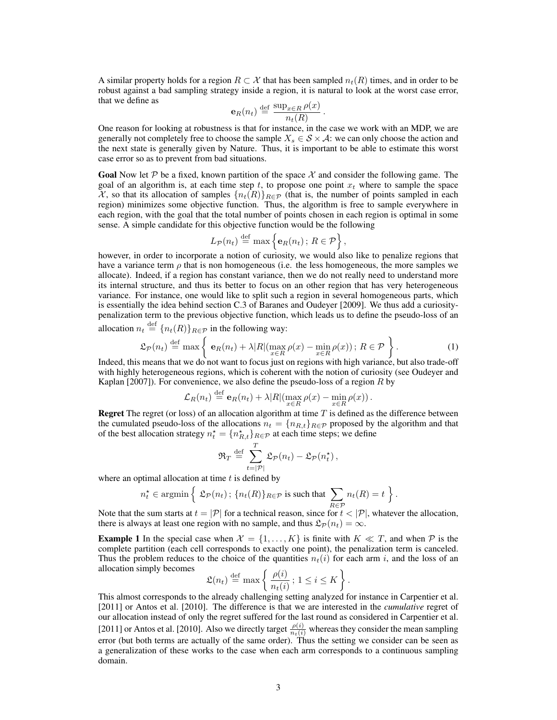A similar property holds for a region  $R \subset \mathcal{X}$  that has been sampled  $n_t(R)$  times, and in order to be robust against a bad sampling strategy inside a region, it is natural to look at the worst case error, that we define as

$$
\mathbf{e}_R(n_t) \stackrel{\text{def}}{=} \frac{\sup_{x \in R} \rho(x)}{n_t(R)}.
$$

One reason for looking at robustness is that for instance, in the case we work with an MDP, we are generally not completely free to choose the sample  $X_s \in S \times A$ : we can only choose the action and the next state is generally given by Nature. Thus, it is important to be able to estimate this worst case error so as to prevent from bad situations.

**Goal** Now let P be a fixed, known partition of the space X and consider the following game. The goal of an algorithm is, at each time step t, to propose one point  $x_t$  where to sample the space  $\mathcal{X}$ , so that its allocation of samples  $\{n_t(R)\}_{R\in\mathcal{P}}$  (that is, the number of points sampled in each region) minimizes some objective function. Thus, the algorithm is free to sample everywhere in each region, with the goal that the total number of points chosen in each region is optimal in some sense. A simple candidate for this objective function would be the following

$$
L_{\mathcal{P}}(n_t) \stackrel{\text{def}}{=} \max \left\{ \mathbf{e}_R(n_t) \, ; \, R \in \mathcal{P} \right\},\,
$$

however, in order to incorporate a notion of curiosity, we would also like to penalize regions that have a variance term  $\rho$  that is non homogeneous (i.e. the less homogeneous, the more samples we allocate). Indeed, if a region has constant variance, then we do not really need to understand more its internal structure, and thus its better to focus on an other region that has very heterogeneous variance. For instance, one would like to split such a region in several homogeneous parts, which is essentially the idea behind section C.3 of Baranes and Oudeyer [2009]. We thus add a curiositypenalization term to the previous objective function, which leads us to define the pseudo-loss of an

allocation  $n_t \stackrel{\text{def}}{=} \{n_t(R)\}_{R \in \mathcal{P}}$  in the following way:

$$
\mathfrak{L}_{\mathcal{P}}(n_t) \stackrel{\text{def}}{=} \max \left\{ \mathbf{e}_R(n_t) + \lambda |R| (\max_{x \in R} \rho(x) - \min_{x \in R} \rho(x)); R \in \mathcal{P} \right\}.
$$
 (1)

Indeed, this means that we do not want to focus just on regions with high variance, but also trade-off with highly heterogeneous regions, which is coherent with the notion of curiosity (see Oudeyer and Kaplan [2007]). For convenience, we also define the pseudo-loss of a region  $R$  by

$$
\mathcal{L}_R(n_t) \stackrel{\text{def}}{=} \mathbf{e}_R(n_t) + \lambda |R| (\max_{x \in R} \rho(x) - \min_{x \in R} \rho(x)).
$$

**Regret** The regret (or loss) of an allocation algorithm at time  $T$  is defined as the difference between the cumulated pseudo-loss of the allocations  $n_t = \{n_{R,t}\}_{R \in \mathcal{P}}$  proposed by the algorithm and that of the best allocation strategy  $n_t^* = \{n_{R,t}^*\}_{R \in \mathcal{P}}$  at each time steps; we define

$$
\mathfrak{R}_T \stackrel{\text{def}}{=} \sum_{t=|\mathcal{P}|}^T \mathfrak{L}_{\mathcal{P}}(n_t) - \mathfrak{L}_{\mathcal{P}}(n_t^{\star}),
$$

where an optimal allocation at time  $t$  is defined by

$$
n_t^{\star} \in \operatorname{argmin} \left\{ \ \mathfrak{L}_{\mathcal{P}}(n_t) \, ; \, \{n_t(R)\}_{R \in \mathcal{P}} \text{ is such that } \sum_{R \in \mathcal{P}} n_t(R) = t \ \right\}.
$$

Note that the sum starts at  $t = |\mathcal{P}|$  for a technical reason, since for  $t < |\mathcal{P}|$ , whatever the allocation, there is always at least one region with no sample, and thus  $\mathfrak{L}_p(n_t) = \infty$ .

**Example 1** In the special case when  $\mathcal{X} = \{1, \ldots, K\}$  is finite with  $K \ll T$ , and when  $\mathcal{P}$  is the complete partition (each cell corresponds to exactly one point), the penalization term is canceled. Thus the problem reduces to the choice of the quantities  $n_t(i)$  for each arm i, and the loss of an allocation simply becomes

$$
\mathfrak{L}(n_t) \stackrel{\text{def}}{=} \max \left\{ \frac{\rho(i)}{n_t(i)} \, ; \, 1 \leq i \leq K \right\}.
$$

This almost corresponds to the already challenging setting analyzed for instance in Carpentier et al. [2011] or Antos et al. [2010]. The difference is that we are interested in the *cumulative* regret of our allocation instead of only the regret suffered for the last round as considered in Carpentier et al. [2011] or Antos et al. [2010]. Also we directly target  $\frac{\rho(i)}{n_t(i)}$  whereas they consider the mean sampling error (but both terms are actually of the same order). Thus the setting we consider can be seen as a generalization of these works to the case when each arm corresponds to a continuous sampling domain.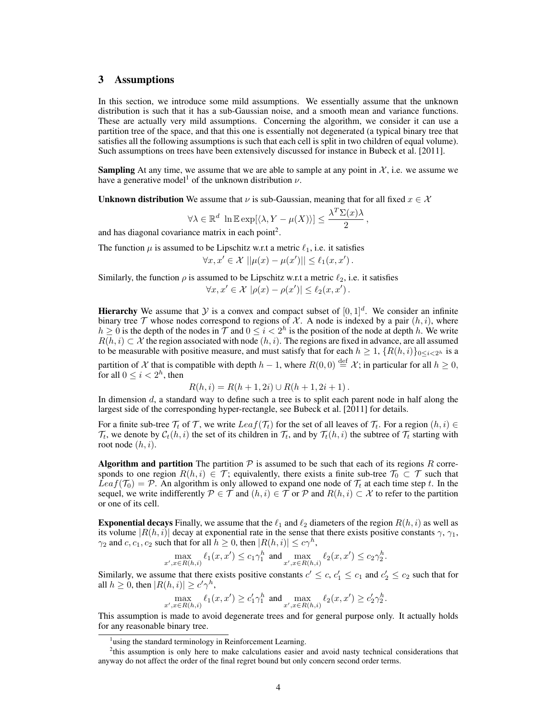# 3 Assumptions

In this section, we introduce some mild assumptions. We essentially assume that the unknown distribution is such that it has a sub-Gaussian noise, and a smooth mean and variance functions. These are actually very mild assumptions. Concerning the algorithm, we consider it can use a partition tree of the space, and that this one is essentially not degenerated (a typical binary tree that satisfies all the following assumptions is such that each cell is split in two children of equal volume). Such assumptions on trees have been extensively discussed for instance in Bubeck et al. [2011].

**Sampling** At any time, we assume that we are able to sample at any point in  $\mathcal{X}$ , i.e. we assume we have a generative model<sup>1</sup> of the unknown distribution  $\nu$ .

**Unknown distribution** We assume that  $\nu$  is sub-Gaussian, meaning that for all fixed  $x \in \mathcal{X}$ 

$$
\forall \lambda \in \mathbb{R}^d \ \ln \mathbb{E} \exp[\langle \lambda, Y - \mu(X) \rangle] \le \frac{\lambda^T \Sigma(x) \lambda}{2},
$$

and has diagonal covariance matrix in each point<sup>2</sup>.

The function  $\mu$  is assumed to be Lipschitz w.r.t a metric  $\ell_1$ , i.e. it satisfies

$$
\forall x, x' \in \mathcal{X} \, ||\mu(x) - \mu(x')|| \leq \ell_1(x, x') \, .
$$

Similarly, the function  $\rho$  is assumed to be Lipschitz w.r.t a metric  $\ell_2$ , i.e. it satisfies

$$
\forall x, x' \in \mathcal{X} \, |\rho(x) - \rho(x')| \leq \ell_2(x, x') \, .
$$

**Hierarchy** We assume that Y is a convex and compact subset of  $[0, 1]^d$ . We consider an infinite binary tree  $\mathcal T$  whose nodes correspond to regions of  $\mathcal X$ . A node is indexed by a pair  $(h, i)$ , where  $h \ge 0$  is the depth of the nodes in  $\mathcal T$  and  $0 \le i < 2^h$  is the position of the node at depth h. We write  $R(h, i) \subset \mathcal{X}$  the region associated with node  $(h, i)$ . The regions are fixed in advance, are all assumed to be measurable with positive measure, and must satisfy that for each  $h \geq 1$ ,  $\{R(h, i)\}_{0 \leq i \leq 2^h}$  is a

partition of X that is compatible with depth  $h-1$ , where  $R(0,0) \stackrel{\text{def}}{=} X$ ; in particular for all  $h \ge 0$ , for all  $0 \leq i < 2<sup>h</sup>$ , then

$$
R(h, i) = R(h + 1, 2i) \cup R(h + 1, 2i + 1).
$$

In dimension  $d$ , a standard way to define such a tree is to split each parent node in half along the largest side of the corresponding hyper-rectangle, see Bubeck et al. [2011] for details.

For a finite sub-tree  $\mathcal{T}_t$  of  $\mathcal{T}$ , we write  $Leaf(\mathcal{T}_t)$  for the set of all leaves of  $\mathcal{T}_t$ . For a region  $(h, i) \in$  $\mathcal{T}_t$ , we denote by  $\mathcal{C}_t(h, i)$  the set of its children in  $\mathcal{T}_t$ , and by  $\mathcal{T}_t(h, i)$  the subtree of  $\mathcal{T}_t$  starting with root node  $(h, i)$ .

Algorithm and partition The partition  $P$  is assumed to be such that each of its regions R corresponds to one region  $R(h, i) \in \mathcal{T}$ ; equivalently, there exists a finite sub-tree  $\mathcal{T}_0 \subset \mathcal{T}$  such that  $Leaf(\mathcal{T}_0) = \mathcal{P}$ . An algorithm is only allowed to expand one node of  $\mathcal{T}_t$  at each time step t. In the sequel, we write indifferently  $\mathcal{P} \in \mathcal{T}$  and  $(h, i) \in \mathcal{T}$  or  $\mathcal{P}$  and  $R(h, i) \subset \mathcal{X}$  to refer to the partition or one of its cell.

**Exponential decays** Finally, we assume that the  $\ell_1$  and  $\ell_2$  diameters of the region  $R(h, i)$  as well as its volume  $|R(h, i)|$  decay at exponential rate in the sense that there exists positive constants  $\gamma$ ,  $\gamma_1$ ,  $\gamma_2$  and  $c, c_1, c_2$  such that for all  $h \geq 0$ , then  $|R(h, i)| \leq c\gamma^h$ ,

$$
\max_{x',x \in R(h,i)} \ell_1(x,x') \le c_1 \gamma_1^h \text{ and } \max_{x',x \in R(h,i)} \ell_2(x,x') \le c_2 \gamma_2^h.
$$

Similarly, we assume that there exists positive constants  $c' \leq c, c'_1 \leq c_1$  and  $c'_2 \leq c_2$  such that for all  $h \geq 0$ , then  $|R(h, i)| \geq c' \gamma^h$ ,

$$
\max_{x',x \in R(h,i)} \ell_1(x,x') \geq c'_1 \gamma_1^h \text{ and } \max_{x',x \in R(h,i)} \ell_2(x,x') \geq c'_2 \gamma_2^h.
$$

This assumption is made to avoid degenerate trees and for general purpose only. It actually holds for any reasonable binary tree.

<sup>&</sup>lt;sup>1</sup>using the standard terminology in Reinforcement Learning.

<sup>&</sup>lt;sup>2</sup>this assumption is only here to make calculations easier and avoid nasty technical considerations that anyway do not affect the order of the final regret bound but only concern second order terms.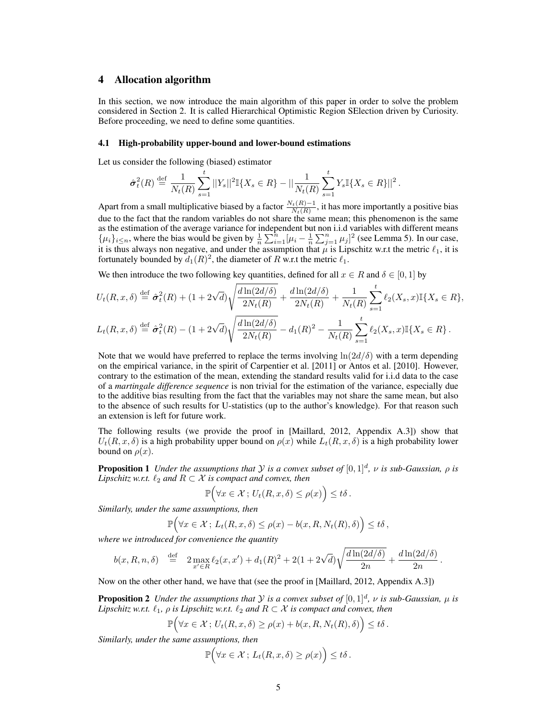# 4 Allocation algorithm

In this section, we now introduce the main algorithm of this paper in order to solve the problem considered in Section 2. It is called Hierarchical Optimistic Region SElection driven by Curiosity. Before proceeding, we need to define some quantities.

#### 4.1 High-probability upper-bound and lower-bound estimations

Let us consider the following (biased) estimator

$$
\hat{\sigma}_t^2(R) \stackrel{\text{def}}{=} \frac{1}{N_t(R)} \sum_{s=1}^t ||Y_s||^2 \mathbb{I}\{X_s \in R\} - ||\frac{1}{N_t(R)} \sum_{s=1}^t Y_s \mathbb{I}\{X_s \in R\}||^2.
$$

Apart from a small multiplicative biased by a factor  $\frac{N_t(R)-1}{N_t(R)}$ , it has more importantly a positive bias due to the fact that the random variables do not share the same mean; this phenomenon is the same as the estimation of the average variance for independent but non i.i.d variables with different means  $\{\mu_i\}_{i\leq n}$ , where the bias would be given by  $\frac{1}{n}\sum_{i=1}^n[\mu_i-\frac{1}{n}\sum_{j=1}^n\mu_j]^2$  (see Lemma 5). In our case, it is thus always non negative, and under the assumption that  $\mu$  is Lipschitz w.r.t the metric  $\ell_1$ , it is fortunately bounded by  $d_1(R)^2$ , the diameter of R w.r.t the metric  $\ell_1$ .

We then introduce the two following key quantities, defined for all  $x \in R$  and  $\delta \in [0, 1]$  by

$$
U_t(R, x, \delta) \stackrel{\text{def}}{=} \hat{\sigma}_t^2(R) + (1 + 2\sqrt{d})\sqrt{\frac{d\ln(2d/\delta)}{2N_t(R)}} + \frac{d\ln(2d/\delta)}{2N_t(R)} + \frac{1}{N_t(R)}\sum_{s=1}^t \ell_2(X_s, x)\mathbb{I}\{X_s \in R\},
$$
  

$$
L_t(R, x, \delta) \stackrel{\text{def}}{=} \hat{\sigma}_t^2(R) - (1 + 2\sqrt{d})\sqrt{\frac{d\ln(2d/\delta)}{2N_t(R)}} - d_1(R)^2 - \frac{1}{N_t(R)}\sum_{s=1}^t \ell_2(X_s, x)\mathbb{I}\{X_s \in R\}.
$$

Note that we would have preferred to replace the terms involving  $\ln(2d/\delta)$  with a term depending on the empirical variance, in the spirit of Carpentier et al. [2011] or Antos et al. [2010]. However, contrary to the estimation of the mean, extending the standard results valid for i.i.d data to the case of a *martingale difference sequence* is non trivial for the estimation of the variance, especially due to the additive bias resulting from the fact that the variables may not share the same mean, but also to the absence of such results for U-statistics (up to the author's knowledge). For that reason such an extension is left for future work.

The following results (we provide the proof in [Maillard, 2012, Appendix A.3]) show that  $U_t(R, x, \delta)$  is a high probability upper bound on  $\rho(x)$  while  $L_t(R, x, \delta)$  is a high probability lower bound on  $\rho(x)$ .

**Proposition 1** Under the assumptions that Y is a convex subset of  $[0, 1]^d$ ,  $\nu$  is sub-Gaussian,  $\rho$  is Lipschitz w.r.t.  $\ell_2$  and  $R \subset \mathcal{X}$  is compact and convex, then

$$
\mathbb{P}\Big(\forall x\in\mathcal{X}\,;\,U_t(R,x,\delta)\leq\rho(x)\Big)\leq t\delta\,.
$$

Similarly, under the same assumptions, then

$$
\mathbb{P}\Big(\forall x\in\mathcal{X}\,;\,L_t(R,x,\delta)\leq\rho(x)-b(x,R,N_t(R),\delta)\Big)\leq t\delta\,,
$$

where we introduced for convenience the quantity

$$
b(x, R, n, \delta) \stackrel{\text{def}}{=} 2 \max_{x' \in R} \ell_2(x, x') + d_1(R)^2 + 2(1 + 2\sqrt{d}) \sqrt{\frac{d \ln(2d/\delta)}{2n}} + \frac{d \ln(2d/\delta)}{2n}.
$$

Now on the other other hand, we have that (see the proof in [Maillard, 2012, Appendix A.3])

**Proposition 2** Under the assumptions that Y is a convex subset of  $[0, 1]^d$ ,  $\nu$  is sub-Gaussian,  $\mu$  is Lipschitz w.r.t.  $\ell_1$ ,  $\rho$  is Lipschitz w.r.t.  $\ell_2$  and  $R \subset \mathcal{X}$  is compact and convex, then

$$
\mathbb{P}\Big(\forall x\in\mathcal{X}\,;\,U_t(R,x,\delta)\geq\rho(x)+b(x,R,N_t(R),\delta)\Big)\leq t\delta\,.
$$

Similarly, under the same assumptions, then

$$
\mathbb{P}\Big(\forall x\in\mathcal{X}\,;\,L_t(R,x,\delta)\geq\rho(x)\Big)\leq t\delta\,.
$$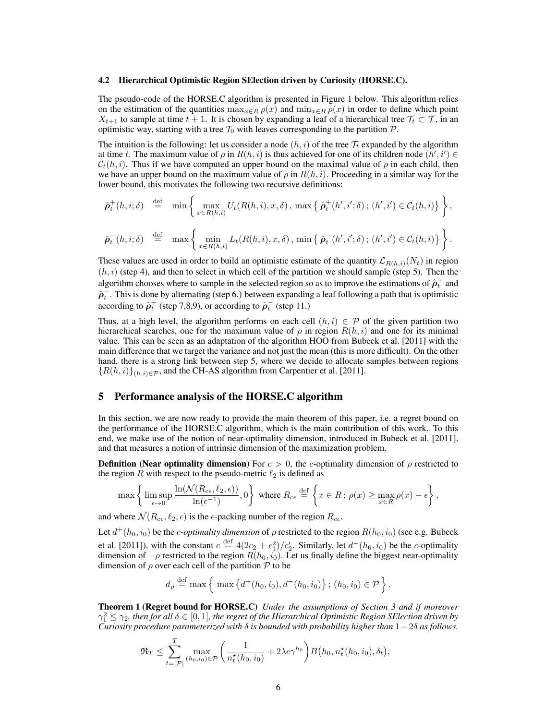#### 4.2 Hierarchical Optimistic Region SElection driven by Curiosity (HORSE.C).

The pseudo-code of the HORSE.C algorithm is presented in Figure 1 below. This algorithm relies on the estimation of the quantities  $\max_{x \in R} \rho(x)$  and  $\min_{x \in R} \rho(x)$  in order to define which point  $X_{t+1}$  to sample at time  $t + 1$ . It is chosen by expanding a leaf of a hierarchical tree  $\mathcal{T}_t \subset \mathcal{T}$ , in an optimistic way, starting with a tree  $\mathcal{T}_0$  with leaves corresponding to the partition  $\mathcal{P}$ .

The intuition is the following: let us consider a node  $(h, i)$  of the tree  $\mathcal{T}_t$  expanded by the algorithm at time t. The maximum value of  $\rho$  in  $R(h, i)$  is thus achieved for one of its children node  $(h', i') \in$  $C_t(h, i)$ . Thus if we have computed an upper bound on the maximal value of  $\rho$  in each child, then we have an upper bound on the maximum value of  $\rho$  in  $R(h, i)$ . Proceeding in a similar way for the lower bound, this motivates the following two recursive definitions:

$$
\hat{\rho}_t^+(h,i;\delta) \stackrel{\text{def}}{=} \min \left\{ \max_{x \in R(h,i)} U_t(R(h,i),x,\delta), \max \left\{ \hat{\rho}_t^+(h',i';\delta) ; (h',i') \in C_t(h,i) \right\} \right\},
$$
  

$$
\hat{\rho}_t^-(h,i;\delta) \stackrel{\text{def}}{=} \max \left\{ \min_{x \in R(h,i)} L_t(R(h,i),x,\delta), \min \left\{ \hat{\rho}_t^-(h',i';\delta) ; (h',i') \in C_t(h,i) \right\} \right\}.
$$

These values are used in order to build an optimistic estimate of the quantity  $\mathcal{L}_{R(h,i)}(N_t)$  in region  $(h, i)$  (step 4), and then to select in which cell of the partition we should sample (step 5). Then the algorithm chooses where to sample in the selected region so as to improve the estimations of  $\hat{\rho}_t^+$  and  $\hat{\rho}_t^-$ . This is done by alternating (step 6.) between expanding a leaf following a path that is optimistic according to  $\hat{\rho}_t^+$  (step 7,8,9), or according to  $\hat{\rho}_t^-$  (step 11.)

Thus, at a high level, the algorithm performs on each cell  $(h, i) \in \mathcal{P}$  of the given partition two hierarchical searches, one for the maximum value of  $\rho$  in region  $R(h, i)$  and one for its minimal value. This can be seen as an adaptation of the algorithm HOO from Bubeck et al. [2011] with the main difference that we target the variance and not just the mean (this is more difficult). On the other hand, there is a strong link between step 5, where we decide to allocate samples between regions  ${R(h, i)}_{(h, i) \in \mathcal{P}}$ , and the CH-AS algorithm from Carpentier et al. [2011].

## 5 Performance analysis of the HORSE.C algorithm

In this section, we are now ready to provide the main theorem of this paper, i.e. a regret bound on the performance of the HORSE.C algorithm, which is the main contribution of this work. To this end, we make use of the notion of near-optimality dimension, introduced in Bubeck et al. [2011], and that measures a notion of intrinsic dimension of the maximization problem.

**Definition (Near optimality dimension)** For  $c > 0$ , the c-optimality dimension of  $\rho$  restricted to the region R with respect to the pseudo-metric  $\ell_2$  is defined as

$$
\max\left\{\limsup_{\epsilon\to 0}\frac{\ln(\mathcal{N}(R_{c\epsilon},\ell_2,\epsilon))}{\ln(\epsilon^{-1})},0\right\}\text{ where }R_{c\epsilon}\stackrel{\mathrm{def}}{=}\left\{x\in R\,;\,\rho(x)\geq\max_{x\in R}\rho(x)-\epsilon\right\},
$$

and where  $\mathcal{N}(R_{c\epsilon}, \ell_2, \epsilon)$  is the  $\epsilon$ -packing number of the region  $R_{c\epsilon}$ .

Let  $d^+(h_0, i_0)$  be the *c*-optimality dimension of  $\rho$  restricted to the region  $R(h_0, i_0)$  (see e.g. Bubeck et al. [2011]), with the constant  $c \stackrel{\text{def}}{=} 4(2c_2 + c_1^2)/c_2'$ . Similarly, let  $d^-(h_0, i_0)$  be the *c*-optimality dimension of  $-\rho$  restricted to the region  $R(h_0, i_0)$ . Let us finally define the biggest near-optimality dimension of  $\rho$  over each cell of the partition  $P$  to be

$$
d_{\rho} \stackrel{\text{def}}{=} \max \left\{ \max \left\{ d^{+}(h_0, i_0), d^{-}(h_0, i_0) \right\}; (h_0, i_0) \in \mathcal{P} \right\}.
$$

**Theorem 1 (Regret bound for HORSE.C)** Under the assumptions of Section 3 and if moreover  $\gamma_1^2 \leq \gamma_2$ , then for all  $\delta \in [0,1]$ , the regret of the Hierarchical Optimistic Region SElection driven by Curiosity procedure parameterized with  $\delta$  is bounded with probability higher than  $1-2\delta$  as follows.

$$
\mathfrak{R}_T \leq \sum_{t=|\mathcal{P}|}^T \max_{(h_0, i_0) \in \mathcal{P}} \left( \frac{1}{n_t^{\star}(h_0, i_0)} + 2\lambda c \gamma^{h_0} \right) B\big(h_0, n_t^{\star}(h_0, i_0), \delta_t\big),
$$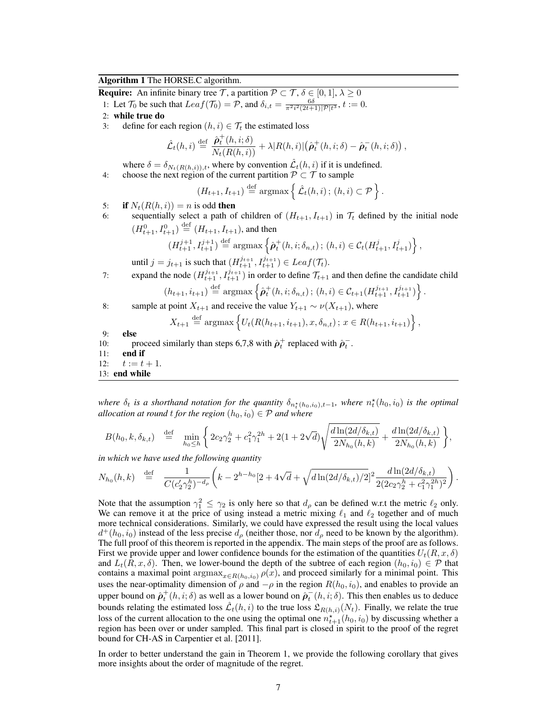## Algorithm 1 The HORSE.C algorithm.

**Require:** An infinite binary tree T, a partition  $\mathcal{P} \subset \mathcal{T}, \delta \in [0, 1], \lambda \geq 0$ 

- 1: Let  $\mathcal{T}_0$  be such that  $Leaf(\mathcal{T}_0) = \mathcal{P}$ , and  $\delta_{i,t} = \frac{6\delta}{\pi^2 i^2 (2t+1) |\mathcal{P}| t^3}$ ,  $t := 0$ .
- 2: while true do
- 3: define for each region  $(h, i) \in \mathcal{T}_t$  the estimated loss

$$
\hat{\mathcal{L}}_t(h,i) \stackrel{\text{def}}{=} \frac{\hat{\rho}_t^+(h,i;\delta)}{N_t(R(h,i))} + \lambda |R(h,i)| (\hat{\rho}_t^+(h,i;\delta) - \hat{\rho}_t^-(h,i;\delta)),
$$

where  $\delta = \delta_{N_t(R(h,i)),t}$ , where by convention  $\hat{\mathcal{L}}_t(h,i)$  if it is undefined.

4: choose the next region of the current partition 
$$
P \subset T
$$
 to sample

$$
(H_{t+1}, I_{t+1}) \stackrel{\text{def}}{=} \operatorname{argmax} \left\{ \hat{\mathcal{L}}_t(h, i) ; (h, i) \subset \mathcal{P} \right\}.
$$

- 5: if  $N_t(R(h, i)) = n$  is odd then
- 6: sequentially select a path of children of  $(H_{t+1}, I_{t+1})$  in  $\mathcal{T}_t$  defined by the initial node  $(H_{t+1}^0, I_{t+1}^0) \stackrel{\text{def}}{=} (H_{t+1}, I_{t+1}),$  and then

$$
(H_{t+1}^{j+1}, I_{t+1}^{j+1}) \stackrel{\text{def}}{=} \arg\!\max \left\{ \hat{\boldsymbol{\rho}}_t^+(h, i; \delta_{n,t}) \, ; \, (h, i) \in C_t(H_{t+1}^j, I_{t+1}^j) \right\},
$$

until  $j = j_{t+1}$  is such that  $(H_{t+1}^{j_{t+1}}, I_{t+1}^{j_{t+1}}) \in Leaf(\mathcal{T}_t)$ .

7: expand the node  $(H_{t+1}^{j_{t+1}}, I_{t+1}^{j_{t+1}})$  in order to define  $\mathcal{T}_{t+1}$  and then define the candidate child

$$
(h_{t+1}, i_{t+1}) \stackrel{\text{def}}{=} \text{argmax} \left\{ \hat{\rho}_t^+(h, i; \delta_{n,t}) \, ; \, (h, i) \in C_{t+1}(H_{t+1}^{j_{t+1}}, I_{t+1}^{j_{t+1}}) \right\}.
$$

8: sample at point  $X_{t+1}$  and receive the value  $Y_{t+1} \sim \nu(X_{t+1})$ , where

$$
X_{t+1} \stackrel{\text{def}}{=} \operatorname{argmax} \left\{ U_t(R(h_{t+1}, i_{t+1}), x, \delta_{n,t}) \, ; \, x \in R(h_{t+1}, i_{t+1}) \right\},
$$

9: else

- 10: proceed similarly than steps 6,7,8 with  $\hat{\rho}_t^+$  replaced with  $\hat{\rho}_t^-$ .
- 11: end if
- 12:  $t := t + 1$ .
- 13: end while

where  $\delta_t$  is a shorthand notation for the quantity  $\delta_{n_t^*(h_0,i_0),t-1}$ , where  $n_t^*(h_0,i_0)$  is the optimal allocation at round t for the region  $(h_0, i_0) \in \mathcal{P}$  and where

$$
B(h_0, k, \delta_{k,t}) \stackrel{\text{def}}{=} \min_{h_0 \leq h} \left\{ 2c_2 \gamma_2^h + c_1^2 \gamma_1^{2h} + 2(1 + 2\sqrt{d}) \sqrt{\frac{d \ln(2d/\delta_{k,t})}{2N_{h_0}(h,k)}} + \frac{d \ln(2d/\delta_{k,t})}{2N_{h_0}(h,k)} \right\},
$$

in which we have used the following quantity

$$
N_{h_0}(h,k) \stackrel{\text{def}}{=} \frac{1}{C(c_2'\gamma_2^h)^{-d_\rho}} \left( k - 2^{h-h_0} \left[ 2 + 4\sqrt{d} + \sqrt{d\ln(2d/\delta_{k,t})/2} \right]^2 \frac{d\ln(2d/\delta_{k,t})}{2(2c_2\gamma_2^h + c_1^2\gamma_1^{2h})^2} \right).
$$

Note that the assumption  $\gamma_1^2 \leq \gamma_2$  is only here so that  $d_\rho$  can be defined w.r.t the metric  $\ell_2$  only. We can remove it at the price of using instead a metric mixing  $\ell_1$  and  $\ell_2$  together and of much more technical considerations. Similarly, we could have expressed the result using the local values  $d^+(h_0, i_0)$  instead of the less precise  $d_\rho$  (neither those, nor  $d_\rho$  need to be known by the algorithm). The full proof of this theorem is reported in the appendix. The main steps of the proof are as follows. First we provide upper and lower confidence bounds for the estimation of the quantities  $U_t(R, x, \delta)$ and  $L_t(R, x, \delta)$ . Then, we lower-bound the depth of the subtree of each region  $(h_0, i_0) \in \mathcal{P}$  that contains a maximal point  $\argmax_{x \in R(h_0,i_0)} \rho(x)$ , and proceed similarly for a minimal point. This uses the near-optimality dimension of  $\rho$  and  $-\rho$  in the region  $R(h_0, i_0)$ , and enables to provide an upper bound on  $\hat{\rho}_t^+(h,i;\delta)$  as well as a lower bound on  $\hat{\rho}_t^-(h,i;\delta)$ . This then enables us to deduce bounds relating the estimated loss  $\mathcal{L}_t(h, i)$  to the true loss  $\mathcal{L}_{R(h, i)}(N_t)$ . Finally, we relate the true loss of the current allocation to the one using the optimal one  $n_{t+1}^{\star}(h_0, i_0)$  by discussing whether a region has been over or under sampled. This final part is closed in spirit to the proof of the regret bound for CH-AS in Carpentier et al. [2011].

In order to better understand the gain in Theorem 1, we provide the following corollary that gives more insights about the order of magnitude of the regret.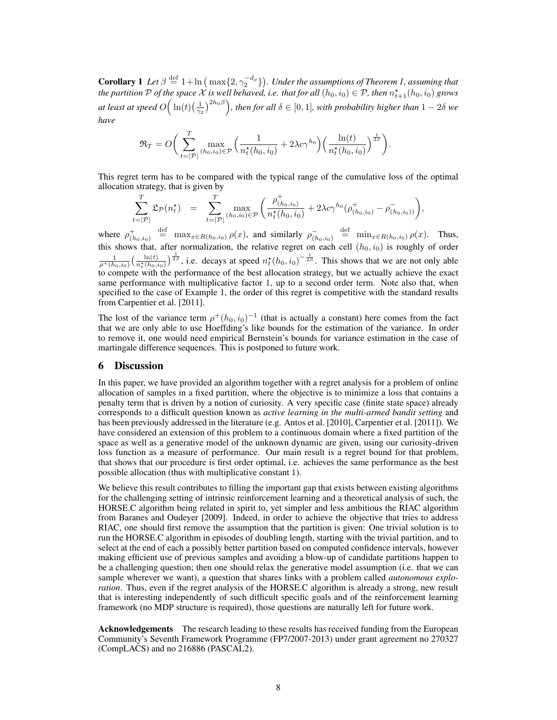**Corollary 1** Let  $\beta \stackrel{\text{def}}{=} 1 + \ln \left( \max\{2, \gamma_2^{-d_\rho}\}\right)$ . Under the assumptions of Theorem 1, assuming that the partition P of the space X is well behaved, i.e. that for all  $(h_0, i_0) \in \mathcal{P}$ , then  $n_{t+1}^{\star}(h_0, i_0)$  grows at least at speed  $O\Big(\ln(t)(\frac{1}{\gamma_2})^{2h_0\beta}\Big)$ , then for all  $\delta\in[0,1]$ , with probability higher than  $1-2\delta$  we have

$$
\mathfrak{R}_T = O\bigg(\sum_{t=|\mathcal{P}|}^T \max_{(h_0, i_0)\in\mathcal{P}} \Big(\frac{1}{n_t^{\star}(h_0, i_0)} + 2\lambda c \gamma^{h_0}\Big) \Big(\frac{\ln(t)}{n_t^{\star}(h_0, i_0)}\Big)^{\frac{1}{2\beta}}\bigg).
$$

This regret term has to be compared with the typical range of the cumulative loss of the optimal allocation strategy, that is given by

$$
\sum_{t=|\mathcal{P}|}^{T} \mathfrak{L}_{\mathcal{P}}(n_t^*) = \sum_{t=|\mathcal{P}|}^{T} \max_{(h_0, i_0) \in \mathcal{P}} \left( \frac{\rho_{(h_0, i_0)}^+}{n_t^*(h_0, i_0)} + 2\lambda c \gamma^{h_0} (\rho_{(h_0, i_0)}^+ - \rho_{(h_0, i_0)}^-) \right),
$$

where  $\rho^+_{(h_0,i_0)}$  $\lim_{x \to R(h_0, i_0)} \rho(x)$ , and similarly  $\rho^{-}_{(h_0, i_0)} \stackrel{\text{def}}{=} \min_{x \in R(h_0, i_0)} \rho(x)$ . Thus, this shows that, after normalization, the relative regret on each cell  $(h_0, i_0)$  is roughly of order  $\frac{1}{\rho^+(h_0,i_0)} \left(\frac{\ln(t)}{n_t^*(h_0,i_0)}\right)^{\frac{1}{2\beta}}$ , i.e. decays at speed  $n_t^*(h_0,i_0)^{-\frac{1}{2\beta}}$ . This shows that we are not only able to compete with the performance of the best allocation strategy, but we actually achieve the exact same performance with multiplicative factor 1, up to a second order term. Note also that, when specified to the case of Example 1, the order of this regret is competitive with the standard results from Carpentier et al. [2011].

The lost of the variance term  $\rho^+(h_0, i_0)^{-1}$  (that is actually a constant) here comes from the fact that we are only able to use Hoeffding's like bounds for the estimation of the variance. In order to remove it, one would need empirical Bernstein's bounds for variance estimation in the case of martingale difference sequences. This is postponed to future work.

## 6 Discussion

In this paper, we have provided an algorithm together with a regret analysis for a problem of online allocation of samples in a fixed partition, where the objective is to minimize a loss that contains a penalty term that is driven by a notion of curiosity. A very specific case (finite state space) already corresponds to a difficult question known as *active learning in the multi-armed bandit setting* and has been previously addressed in the literature (e.g. Antos et al. [2010], Carpentier et al. [2011]). We have considered an extension of this problem to a continuous domain where a fixed partition of the space as well as a generative model of the unknown dynamic are given, using our curiosity-driven loss function as a measure of performance. Our main result is a regret bound for that problem, that shows that our procedure is first order optimal, i.e. achieves the same performance as the best possible allocation (thus with multiplicative constant 1).

We believe this result contributes to filling the important gap that exists between existing algorithms for the challenging setting of intrinsic reinforcement learning and a theoretical analysis of such, the HORSE.C algorithm being related in spirit to, yet simpler and less ambitious the RIAC algorithm from Baranes and Oudeyer [2009]. Indeed, in order to achieve the objective that tries to address RIAC, one should first remove the assumption that the partition is given: One trivial solution is to run the HORSE.C algorithm in episodes of doubling length, starting with the trivial partition, and to select at the end of each a possibly better partition based on computed confidence intervals, however making efficient use of previous samples and avoiding a blow-up of candidate partitions happen to be a challenging question; then one should relax the generative model assumption (i.e. that we can sample wherever we want), a question that shares links with a problem called *autonomous explo*ration. Thus, even if the regret analysis of the HORSE.C algorithm is already a strong, new result that is interesting independently of such difficult specific goals and of the reinforcement learning framework (no MDP structure is required), those questions are naturally left for future work.

Acknowledgements The research leading to these results has received funding from the European Community's Seventh Framework Programme (FP7/2007-2013) under grant agreement no 270327 (CompLACS) and no 216886 (PASCAL2).